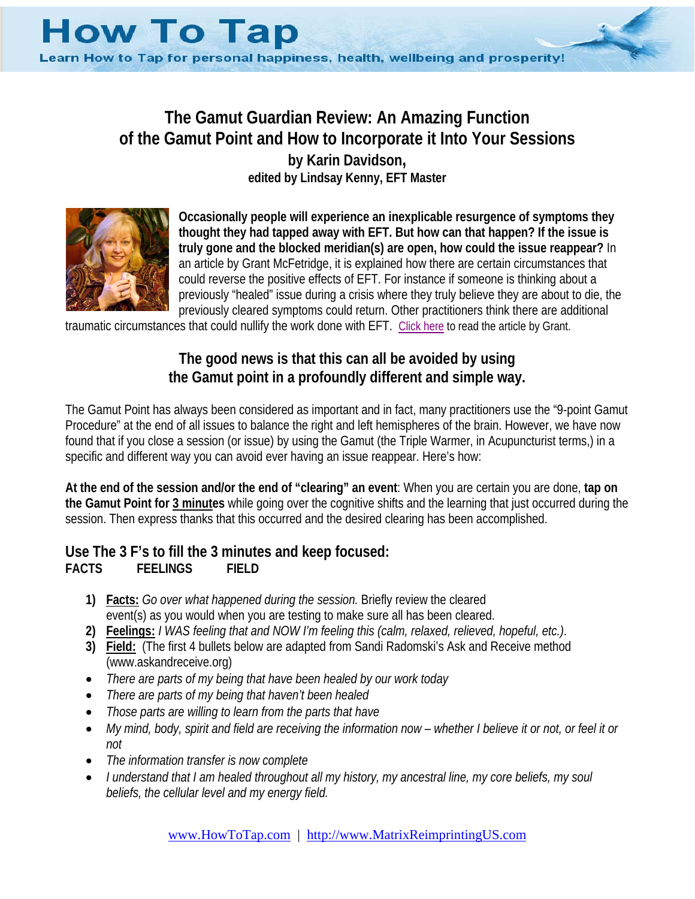## **The Gamut Guardian Review: An Amazing Function of the Gamut Point and How to Incorporate it Into Your Sessions**

**by Karin Davidson, edited by Lindsay Kenny, EFT Master**



**Occasionally people will experience an inexplicable resurgence of symptoms they thought they had tapped away with EFT. But how can that happen? If the issue is truly gone and the blocked meridian(s) are open, how could the issue reappear?** In an article by Grant McFetridge, it is explained how there are certain circumstances that could reverse the positive effects of EFT. For instance if someone is thinking about a previously "healed" issue during a crisis where they truly believe they are about to die, the previously cleared symptoms could return. Other practitioners think there are additional

traumatic circumstances that could nullify the work done with EFT. Click here to read the article by Grant.

### **The good news is that this can all be avoided by using the Gamut point in a profoundly different and simple way.**

The Gamut Point has always been considered as important and in fact, many practitioners use the "9-point Gamut Procedure" at the end of all issues to balance the right and left hemispheres of the brain. However, we have now found that if you close a session (or issue) by using the Gamut (the Triple Warmer, in Acupuncturist terms,) in a specific and different way you can avoid ever having an issue reappear. Here's how:

**At the end of the session and/or the end of "clearing" an event**: When you are certain you are done, **tap on the Gamut Point for 3 minutes** while going over the cognitive shifts and the learning that just occurred during the session. Then express thanks that this occurred and the desired clearing has been accomplished.

### **Use The 3 F's to fill the 3 minutes and keep focused: FACTS FEELINGS FIELD**

- **1) Facts:** *Go over what happened during the session.* Briefly review the cleared event(s) as you would when you are testing to make sure all has been cleared.
- **2) Feelings:** *I WAS feeling that and NOW I'm feeling this (calm, relaxed, relieved, hopeful, etc.)*.
- **3) Field:** (The first 4 bullets below are adapted from Sandi Radomski's Ask and Receive method (www.askandreceive.org)
- *There are parts of my being that have been healed by our work today*
- *There are parts of my being that haven't been healed*
- *Those parts are willing to learn from the parts that have*
- My mind, body, spirit and field are receiving the information now whether I believe it or not, or feel it or *not*
- *The information transfer is now complete*
- *I understand that I am healed throughout all my history, my ancestral line, my core beliefs, my soul beliefs, the cellular level and my energy field.*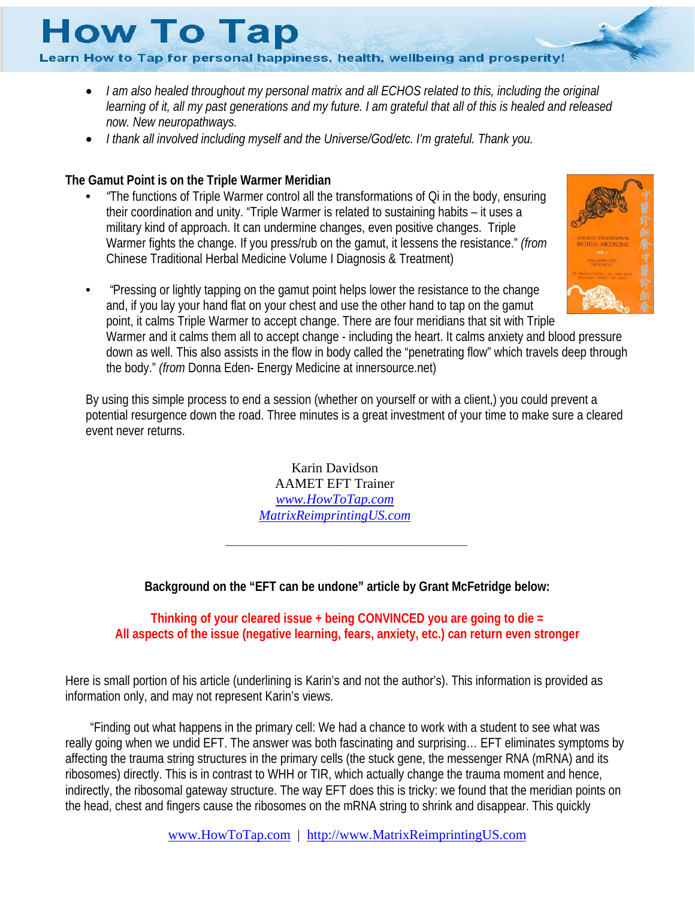# **How To Tap**

Learn How to Tap for personal happiness, health, wellbeing and prosperity!

- *I am also healed throughout my personal matrix and all ECHOS related to this, including the original learning of it, all my past generations and my future. I am grateful that all of this is healed and released now. New neuropathways.*
- *I thank all involved including myself and the Universe/God/etc. I'm grateful. Thank you.*

### **The Gamut Point is on the Triple Warmer Meridian**

• *"*The functions of Triple Warmer control all the transformations of Qi in the body, ensuring their coordination and unity. "Triple Warmer is related to sustaining habits – it uses a military kind of approach. It can undermine changes, even positive changes. Triple Warmer fights the change. If you press/rub on the gamut, it lessens the resistance." *(from*  Chinese Traditional Herbal Medicine Volume I Diagnosis & Treatment)



• *"*Pressing or lightly tapping on the gamut point helps lower the resistance to the change and, if you lay your hand flat on your chest and use the other hand to tap on the gamut point, it calms Triple Warmer to accept change. There are four meridians that sit with Triple Warmer and it calms them all to accept change - including the heart. It calms anxiety and blood pressure down as well. This also assists in the flow in body called the "penetrating flow" which travels deep through

the body." *(from* Donna Eden- Energy Medicine at innersource.net) By using this simple process to end a session (whether on yourself or with a client,) you could prevent a

potential resurgence down the road. Three minutes is a great investment of your time to make sure a cleared event never returns.

> Karin Davidson AAMET EFT Trainer *www.HowToTap.com MatrixReimprintingUS.com*

**Background on the "EFT can be undone" article by Grant McFetridge below:** 

*\_\_\_\_\_\_\_\_\_\_\_\_\_\_\_\_\_\_\_\_\_\_\_\_\_\_\_\_\_\_\_\_\_\_\_\_\_\_\_* 

### **Thinking of your cleared issue + being CONVINCED you are going to die = All aspects of the issue (negative learning, fears, anxiety, etc.) can return even stronger**

Here is small portion of his article (underlining is Karin's and not the author's). This information is provided as information only, and may not represent Karin's views.

 "Finding out what happens in the primary cell: We had a chance to work with a student to see what was really going when we undid EFT. The answer was both fascinating and surprising… EFT eliminates symptoms by affecting the trauma string structures in the primary cells (the stuck gene, the messenger RNA (mRNA) and its ribosomes) directly. This is in contrast to WHH or TIR, which actually change the trauma moment and hence, indirectly, the ribosomal gateway structure. The way EFT does this is tricky: we found that the meridian points on the head, chest and fingers cause the ribosomes on the mRNA string to shrink and disappear. This quickly

www.HowToTap.com | http://www.MatrixReimprintingUS.com